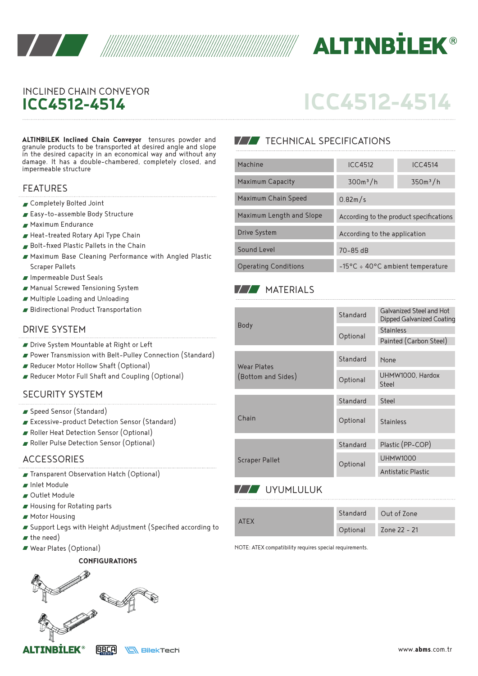



## INCLINED CHAIN CONVEYOR **ICC4512-4514**

# **ICC4512-4514**

**ALTINBILEK Inclined Chain Conveyor** tensures powder and granule products to be transported at desired angle and slope in the desired capacity in an economical way and without any damage. It has a double-chambered, completely closed, and impermeable structure

#### FEATURES

- Completely Bolted Joint
- Easy-to-assemble Body Structure
- Maximum Endurance
- Heat-treated Rotary Api Type Chain
- Bolt-fixed Plastic Pallets in the Chain
- Maximum Base Cleaning Performance with Angled Plastic Scraper Pallets
- Impermeable Dust Seals
- Manual Screwed Tensioning System
- Multiple Loading and Unloading
- Bidirectional Product Transportation

#### DRIVE SYSTEM

- Drive System Mountable at Right or Left
- Power Transmission with Belt-Pulley Connection (Standard)
- Reducer Motor Hollow Shaft (Optional)
- Reducer Motor Full Shaft and Coupling (Optional)

#### SECURITY SYSTEM

- Speed Sensor (Standard)
- Excessive-product Detection Sensor (Standard)
- Roller Heat Detection Sensor (Optional)
- Roller Pulse Detection Sensor (Optional)

#### ACCESSORIES

- Transparent Observation Hatch (Optional)
- **Inlet Module**
- Outlet Module
- Housing for Rotating parts
- **Motor Housing**
- Support Legs with Height Adjustment (Specified according to
- $\blacktriangleright$  the need)
- Wear Plates (Optional)

#### **CONFIGURATIONS**



### **TECHNICAL SPECIFICATIONS**

| Machine                     | <b>ICC4512</b><br><b>ICC4514</b>                    |                      |  |
|-----------------------------|-----------------------------------------------------|----------------------|--|
| <b>Maximum Capacity</b>     | $300m^3/h$                                          | 350m <sup>3</sup> /h |  |
| Maximum Chain Speed         | 0.82m/s                                             |                      |  |
| Maximum Length and Slope    | According to the product specifications             |                      |  |
| Drive System                | According to the application                        |                      |  |
| Sound Level                 | $70 - 85$ dB                                        |                      |  |
| <b>Operating Conditions</b> | $-15\degree$ C ÷ 40 $\degree$ C ambient temperature |                      |  |

#### **MATERIALS**

|                                   | Standard | Galvanized Steel and Hot<br>Dipped Galvanized Coating |
|-----------------------------------|----------|-------------------------------------------------------|
| Body                              | Optional | <b>Stainless</b>                                      |
|                                   |          | Painted (Carbon Steel)                                |
|                                   |          |                                                       |
| Wear Plates<br>(Bottom and Sides) | Standard | None                                                  |
|                                   | Optional | UHMW1000, Hardox                                      |
|                                   |          | Steel                                                 |
|                                   |          |                                                       |
| Chain                             | Standard | Steel                                                 |
|                                   | Optional | <b>Stainless</b>                                      |
|                                   |          |                                                       |
|                                   | Standard | Plastic (PP-COP)                                      |
| Scraper Pallet                    | Optional | <b>UHMW1000</b>                                       |
|                                   |          | Antistatic Plastic                                    |
|                                   |          |                                                       |

### **ZZ**UYUMLULUK

| <b>ATFX</b> | Standard | Out of Zone  |
|-------------|----------|--------------|
|             | Optional | Zone 22 - 21 |

NOTE: ATEX compatibility requires special requirements.